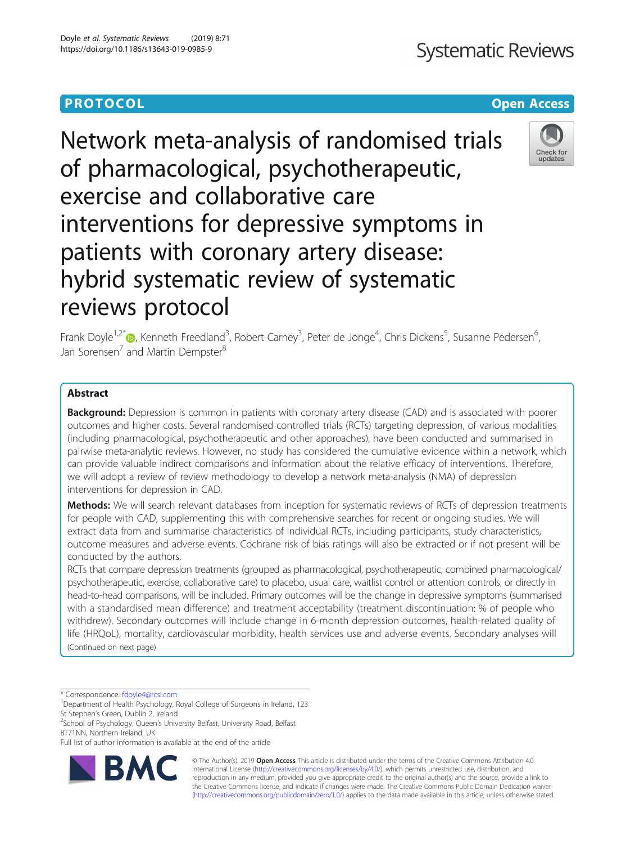# **Systematic Reviews**

# **PROTOCOL CONSUMING THE OPEN ACCESS**

Network meta-analysis of randomised trials of pharmacological, psychotherapeutic, exercise and collaborative care interventions for depressive symptoms in patients with coronary artery disease: hybrid systematic review of systematic reviews protocol



Frank Doyle<sup>1,2[\\*](http://orcid.org/0000-0002-3785-7433)</sup>®, Kenneth Freedland<sup>3</sup>, Robert Carney<sup>3</sup>, Peter de Jonge<sup>4</sup>, Chris Dickens<sup>5</sup>, Susanne Pedersen<sup>6</sup> י<br>, Jan Sorensen<sup>7</sup> and Martin Dempster<sup>8</sup>

# Abstract

Background: Depression is common in patients with coronary artery disease (CAD) and is associated with poorer outcomes and higher costs. Several randomised controlled trials (RCTs) targeting depression, of various modalities (including pharmacological, psychotherapeutic and other approaches), have been conducted and summarised in pairwise meta-analytic reviews. However, no study has considered the cumulative evidence within a network, which can provide valuable indirect comparisons and information about the relative efficacy of interventions. Therefore, we will adopt a review of review methodology to develop a network meta-analysis (NMA) of depression interventions for depression in CAD.

Methods: We will search relevant databases from inception for systematic reviews of RCTs of depression treatments for people with CAD, supplementing this with comprehensive searches for recent or ongoing studies. We will extract data from and summarise characteristics of individual RCTs, including participants, study characteristics, outcome measures and adverse events. Cochrane risk of bias ratings will also be extracted or if not present will be conducted by the authors.

RCTs that compare depression treatments (grouped as pharmacological, psychotherapeutic, combined pharmacological/ psychotherapeutic, exercise, collaborative care) to placebo, usual care, waitlist control or attention controls, or directly in head-to-head comparisons, will be included. Primary outcomes will be the change in depressive symptoms (summarised with a standardised mean difference) and treatment acceptability (treatment discontinuation: % of people who withdrew). Secondary outcomes will include change in 6-month depression outcomes, health-related quality of life (HRQoL), mortality, cardiovascular morbidity, health services use and adverse events. Secondary analyses will (Continued on next page)

\* Correspondence: [fdoyle4@rcsi.com](mailto:fdoyle4@rcsi.com) <sup>1</sup>

<sup>2</sup>School of Psychology, Queen's University Belfast, University Road, Belfast BT71NN, Northern Ireland, UK

Full list of author information is available at the end of the article



© The Author(s). 2019 **Open Access** This article is distributed under the terms of the Creative Commons Attribution 4.0 International License [\(http://creativecommons.org/licenses/by/4.0/](http://creativecommons.org/licenses/by/4.0/)), which permits unrestricted use, distribution, and reproduction in any medium, provided you give appropriate credit to the original author(s) and the source, provide a link to the Creative Commons license, and indicate if changes were made. The Creative Commons Public Domain Dedication waiver [\(http://creativecommons.org/publicdomain/zero/1.0/](http://creativecommons.org/publicdomain/zero/1.0/)) applies to the data made available in this article, unless otherwise stated.

<sup>&</sup>lt;sup>1</sup>Department of Health Psychology, Royal College of Surgeons in Ireland, 123 St Stephen's Green, Dublin 2, Ireland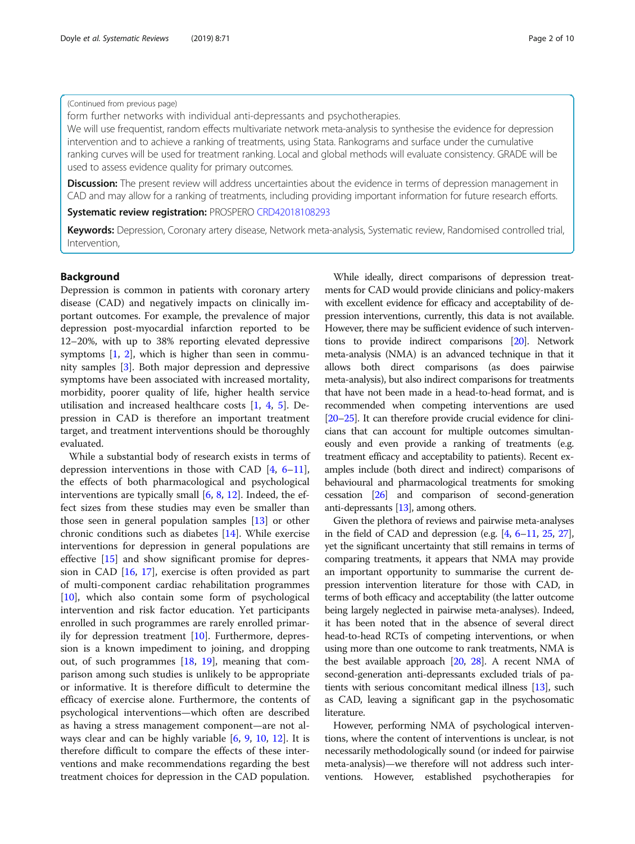#### (Continued from previous page)

form further networks with individual anti-depressants and psychotherapies.

We will use frequentist, random effects multivariate network meta-analysis to synthesise the evidence for depression intervention and to achieve a ranking of treatments, using Stata. Rankograms and surface under the cumulative ranking curves will be used for treatment ranking. Local and global methods will evaluate consistency. GRADE will be used to assess evidence quality for primary outcomes.

Discussion: The present review will address uncertainties about the evidence in terms of depression management in CAD and may allow for a ranking of treatments, including providing important information for future research efforts.

Systematic review registration: PROSPERO [CRD42018108293](https://www.crd.york.ac.uk/prospero/display_record.php?RecordID=108293)

Keywords: Depression, Coronary artery disease, Network meta-analysis, Systematic review, Randomised controlled trial, Intervention,

#### Background

Depression is common in patients with coronary artery disease (CAD) and negatively impacts on clinically important outcomes. For example, the prevalence of major depression post-myocardial infarction reported to be 12–20%, with up to 38% reporting elevated depressive symptoms [[1,](#page-8-0) [2\]](#page-8-0), which is higher than seen in community samples [[3\]](#page-8-0). Both major depression and depressive symptoms have been associated with increased mortality, morbidity, poorer quality of life, higher health service utilisation and increased healthcare costs [\[1,](#page-8-0) [4](#page-8-0), [5\]](#page-8-0). Depression in CAD is therefore an important treatment target, and treatment interventions should be thoroughly evaluated.

While a substantial body of research exists in terms of depression interventions in those with CAD [[4,](#page-8-0) [6](#page-8-0)–[11](#page-8-0)], the effects of both pharmacological and psychological interventions are typically small  $[6, 8, 12]$  $[6, 8, 12]$  $[6, 8, 12]$  $[6, 8, 12]$  $[6, 8, 12]$  $[6, 8, 12]$ . Indeed, the effect sizes from these studies may even be smaller than those seen in general population samples [[13\]](#page-8-0) or other chronic conditions such as diabetes [\[14](#page-8-0)]. While exercise interventions for depression in general populations are effective [[15\]](#page-8-0) and show significant promise for depression in CAD [[16,](#page-8-0) [17](#page-8-0)], exercise is often provided as part of multi-component cardiac rehabilitation programmes [[10\]](#page-8-0), which also contain some form of psychological intervention and risk factor education. Yet participants enrolled in such programmes are rarely enrolled primarily for depression treatment [\[10\]](#page-8-0). Furthermore, depression is a known impediment to joining, and dropping out, of such programmes [\[18](#page-8-0), [19\]](#page-8-0), meaning that comparison among such studies is unlikely to be appropriate or informative. It is therefore difficult to determine the efficacy of exercise alone. Furthermore, the contents of psychological interventions—which often are described as having a stress management component—are not always clear and can be highly variable [[6,](#page-8-0) [9](#page-8-0), [10,](#page-8-0) [12](#page-8-0)]. It is therefore difficult to compare the effects of these interventions and make recommendations regarding the best treatment choices for depression in the CAD population.

While ideally, direct comparisons of depression treatments for CAD would provide clinicians and policy-makers with excellent evidence for efficacy and acceptability of depression interventions, currently, this data is not available. However, there may be sufficient evidence of such interventions to provide indirect comparisons [\[20](#page-8-0)]. Network meta-analysis (NMA) is an advanced technique in that it allows both direct comparisons (as does pairwise meta-analysis), but also indirect comparisons for treatments that have not been made in a head-to-head format, and is recommended when competing interventions are used [[20](#page-8-0)–[25](#page-8-0)]. It can therefore provide crucial evidence for clinicians that can account for multiple outcomes simultaneously and even provide a ranking of treatments (e.g. treatment efficacy and acceptability to patients). Recent examples include (both direct and indirect) comparisons of behavioural and pharmacological treatments for smoking cessation [[26](#page-8-0)] and comparison of second-generation anti-depressants [[13](#page-8-0)], among others.

Given the plethora of reviews and pairwise meta-analyses in the field of CAD and depression (e.g. [\[4,](#page-8-0) [6](#page-8-0)–[11](#page-8-0), [25](#page-8-0), [27](#page-8-0)], yet the significant uncertainty that still remains in terms of comparing treatments, it appears that NMA may provide an important opportunity to summarise the current depression intervention literature for those with CAD, in terms of both efficacy and acceptability (the latter outcome being largely neglected in pairwise meta-analyses). Indeed, it has been noted that in the absence of several direct head-to-head RCTs of competing interventions, or when using more than one outcome to rank treatments, NMA is the best available approach [[20](#page-8-0), [28](#page-8-0)]. A recent NMA of second-generation anti-depressants excluded trials of patients with serious concomitant medical illness [[13](#page-8-0)], such as CAD, leaving a significant gap in the psychosomatic literature.

However, performing NMA of psychological interventions, where the content of interventions is unclear, is not necessarily methodologically sound (or indeed for pairwise meta-analysis)—we therefore will not address such interventions. However, established psychotherapies for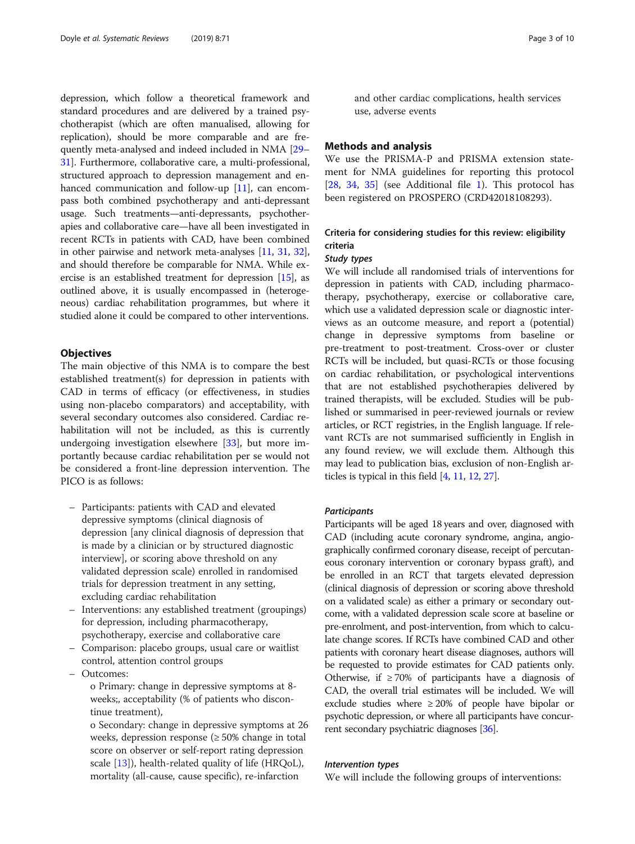depression, which follow a theoretical framework and standard procedures and are delivered by a trained psychotherapist (which are often manualised, allowing for replication), should be more comparable and are frequently meta-analysed and indeed included in NMA [\[29](#page-8-0)– [31](#page-8-0)]. Furthermore, collaborative care, a multi-professional, structured approach to depression management and en-hanced communication and follow-up [\[11\]](#page-8-0), can encompass both combined psychotherapy and anti-depressant usage. Such treatments—anti-depressants, psychotherapies and collaborative care—have all been investigated in recent RCTs in patients with CAD, have been combined in other pairwise and network meta-analyses [\[11](#page-8-0), [31](#page-8-0), [32](#page-8-0)], and should therefore be comparable for NMA. While exercise is an established treatment for depression [[15](#page-8-0)], as outlined above, it is usually encompassed in (heterogeneous) cardiac rehabilitation programmes, but where it studied alone it could be compared to other interventions.

#### **Objectives**

The main objective of this NMA is to compare the best established treatment(s) for depression in patients with CAD in terms of efficacy (or effectiveness, in studies using non-placebo comparators) and acceptability, with several secondary outcomes also considered. Cardiac rehabilitation will not be included, as this is currently undergoing investigation elsewhere [\[33\]](#page-8-0), but more importantly because cardiac rehabilitation per se would not be considered a front-line depression intervention. The PICO is as follows:

- Participants: patients with CAD and elevated depressive symptoms (clinical diagnosis of depression [any clinical diagnosis of depression that is made by a clinician or by structured diagnostic interview], or scoring above threshold on any validated depression scale) enrolled in randomised trials for depression treatment in any setting, excluding cardiac rehabilitation
- Interventions: any established treatment (groupings) for depression, including pharmacotherapy, psychotherapy, exercise and collaborative care
- Comparison: placebo groups, usual care or waitlist control, attention control groups
- Outcomes:

o Primary: change in depressive symptoms at 8 weeks;, acceptability (% of patients who discontinue treatment),

o Secondary: change in depressive symptoms at 26 weeks, depression response (≥ 50% change in total score on observer or self-report rating depression scale  $[13]$  $[13]$  $[13]$ ), health-related quality of life (HRQoL), mortality (all-cause, cause specific), re-infarction

and other cardiac complications, health services use, adverse events

#### Methods and analysis

We use the PRISMA-P and PRISMA extension statement for NMA guidelines for reporting this protocol [[28,](#page-8-0) [34,](#page-8-0) [35\]](#page-8-0) (see Additional file [1\)](#page-7-0). This protocol has been registered on PROSPERO (CRD42018108293).

## Criteria for considering studies for this review: eligibility criteria

#### Study types

We will include all randomised trials of interventions for depression in patients with CAD, including pharmacotherapy, psychotherapy, exercise or collaborative care, which use a validated depression scale or diagnostic interviews as an outcome measure, and report a (potential) change in depressive symptoms from baseline or pre-treatment to post-treatment. Cross-over or cluster RCTs will be included, but quasi-RCTs or those focusing on cardiac rehabilitation, or psychological interventions that are not established psychotherapies delivered by trained therapists, will be excluded. Studies will be published or summarised in peer-reviewed journals or review articles, or RCT registries, in the English language. If relevant RCTs are not summarised sufficiently in English in any found review, we will exclude them. Although this may lead to publication bias, exclusion of non-English articles is typical in this field [[4](#page-8-0), [11,](#page-8-0) [12](#page-8-0), [27](#page-8-0)].

#### **Participants**

Participants will be aged 18 years and over, diagnosed with CAD (including acute coronary syndrome, angina, angiographically confirmed coronary disease, receipt of percutaneous coronary intervention or coronary bypass graft), and be enrolled in an RCT that targets elevated depression (clinical diagnosis of depression or scoring above threshold on a validated scale) as either a primary or secondary outcome, with a validated depression scale score at baseline or pre-enrolment, and post-intervention, from which to calculate change scores. If RCTs have combined CAD and other patients with coronary heart disease diagnoses, authors will be requested to provide estimates for CAD patients only. Otherwise, if  $\geq 70\%$  of participants have a diagnosis of CAD, the overall trial estimates will be included. We will exclude studies where ≥ 20% of people have bipolar or psychotic depression, or where all participants have concurrent secondary psychiatric diagnoses [\[36](#page-8-0)].

#### Intervention types

We will include the following groups of interventions: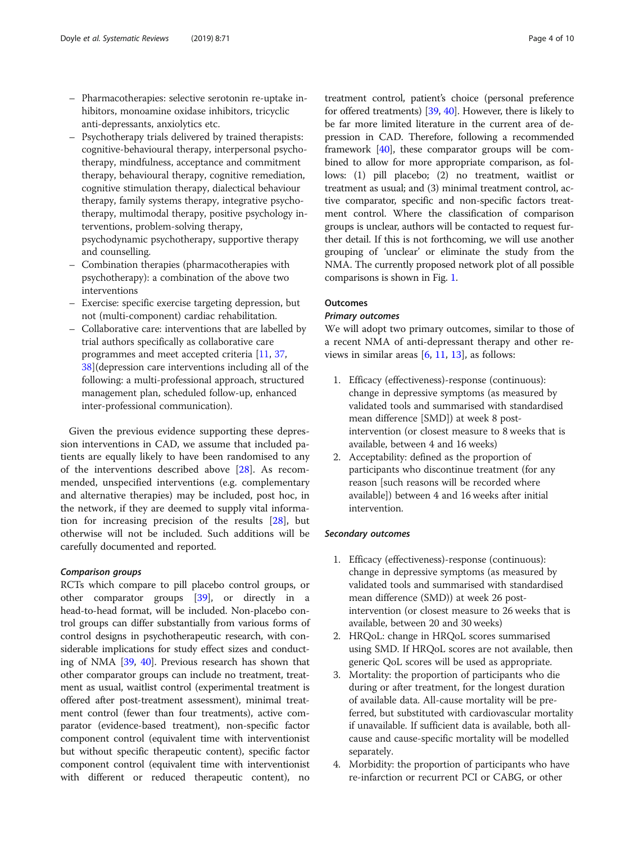- <span id="page-3-0"></span>– Pharmacotherapies: selective serotonin re-uptake inhibitors, monoamine oxidase inhibitors, tricyclic anti-depressants, anxiolytics etc.
- Psychotherapy trials delivered by trained therapists: cognitive-behavioural therapy, interpersonal psychotherapy, mindfulness, acceptance and commitment therapy, behavioural therapy, cognitive remediation, cognitive stimulation therapy, dialectical behaviour therapy, family systems therapy, integrative psychotherapy, multimodal therapy, positive psychology interventions, problem-solving therapy, psychodynamic psychotherapy, supportive therapy and counselling.
- Combination therapies (pharmacotherapies with psychotherapy): a combination of the above two interventions
- Exercise: specific exercise targeting depression, but not (multi-component) cardiac rehabilitation.
- Collaborative care: interventions that are labelled by trial authors specifically as collaborative care programmes and meet accepted criteria [[11,](#page-8-0) [37](#page-8-0), [38](#page-8-0)](depression care interventions including all of the following: a multi-professional approach, structured management plan, scheduled follow-up, enhanced inter-professional communication).

Given the previous evidence supporting these depression interventions in CAD, we assume that included patients are equally likely to have been randomised to any of the interventions described above [\[28](#page-8-0)]. As recommended, unspecified interventions (e.g. complementary and alternative therapies) may be included, post hoc, in the network, if they are deemed to supply vital information for increasing precision of the results [[28\]](#page-8-0), but otherwise will not be included. Such additions will be carefully documented and reported.

#### Comparison groups

RCTs which compare to pill placebo control groups, or other comparator groups [\[39\]](#page-9-0), or directly in a head-to-head format, will be included. Non-placebo control groups can differ substantially from various forms of control designs in psychotherapeutic research, with considerable implications for study effect sizes and conducting of NMA [\[39,](#page-9-0) [40\]](#page-9-0). Previous research has shown that other comparator groups can include no treatment, treatment as usual, waitlist control (experimental treatment is offered after post-treatment assessment), minimal treatment control (fewer than four treatments), active comparator (evidence-based treatment), non-specific factor component control (equivalent time with interventionist but without specific therapeutic content), specific factor component control (equivalent time with interventionist with different or reduced therapeutic content), no

treatment control, patient's choice (personal preference for offered treatments) [[39](#page-9-0), [40\]](#page-9-0). However, there is likely to be far more limited literature in the current area of depression in CAD. Therefore, following a recommended framework [[40](#page-9-0)], these comparator groups will be combined to allow for more appropriate comparison, as follows: (1) pill placebo; (2) no treatment, waitlist or treatment as usual; and (3) minimal treatment control, active comparator, specific and non-specific factors treatment control. Where the classification of comparison groups is unclear, authors will be contacted to request further detail. If this is not forthcoming, we will use another grouping of 'unclear' or eliminate the study from the NMA. The currently proposed network plot of all possible comparisons is shown in Fig. [1.](#page-4-0)

#### **Outcomes**

#### Primary outcomes

We will adopt two primary outcomes, similar to those of a recent NMA of anti-depressant therapy and other reviews in similar areas  $[6, 11, 13]$  $[6, 11, 13]$  $[6, 11, 13]$  $[6, 11, 13]$  $[6, 11, 13]$ , as follows:

- 1. Efficacy (effectiveness)-response (continuous): change in depressive symptoms (as measured by validated tools and summarised with standardised mean difference [SMD]) at week 8 postintervention (or closest measure to 8 weeks that is available, between 4 and 16 weeks)
- 2. Acceptability: defined as the proportion of participants who discontinue treatment (for any reason [such reasons will be recorded where available]) between 4 and 16 weeks after initial intervention.

#### Secondary outcomes

- 1. Efficacy (effectiveness)-response (continuous): change in depressive symptoms (as measured by validated tools and summarised with standardised mean difference (SMD)) at week 26 postintervention (or closest measure to 26 weeks that is available, between 20 and 30 weeks)
- 2. HRQoL: change in HRQoL scores summarised using SMD. If HRQoL scores are not available, then generic QoL scores will be used as appropriate.
- 3. Mortality: the proportion of participants who die during or after treatment, for the longest duration of available data. All-cause mortality will be preferred, but substituted with cardiovascular mortality if unavailable. If sufficient data is available, both allcause and cause-specific mortality will be modelled separately.
- 4. Morbidity: the proportion of participants who have re-infarction or recurrent PCI or CABG, or other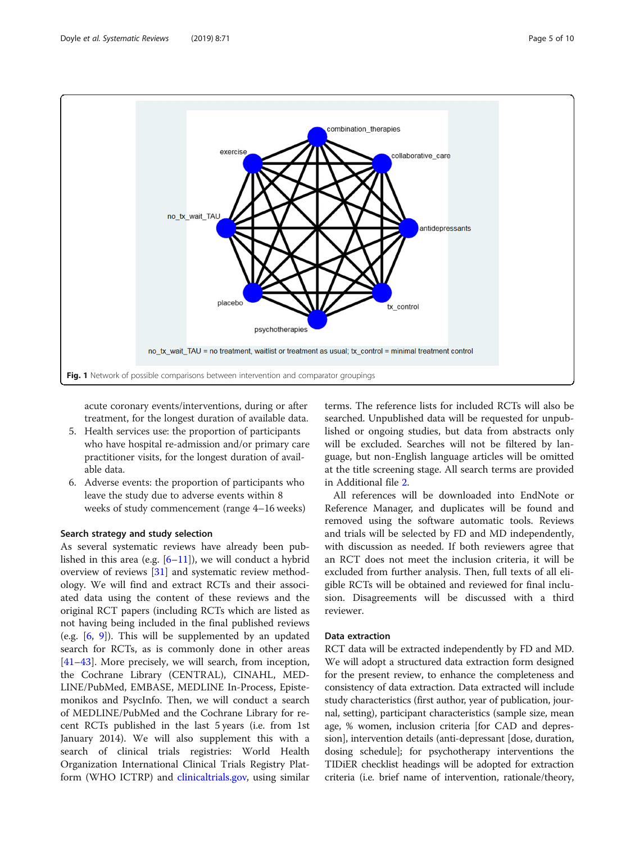<span id="page-4-0"></span>

acute coronary events/interventions, during or after treatment, for the longest duration of available data.

- 5. Health services use: the proportion of participants who have hospital re-admission and/or primary care practitioner visits, for the longest duration of available data.
- 6. Adverse events: the proportion of participants who leave the study due to adverse events within 8 weeks of study commencement (range 4–16 weeks)

#### Search strategy and study selection

As several systematic reviews have already been published in this area (e.g.  $[6-11]$  $[6-11]$  $[6-11]$  $[6-11]$ ), we will conduct a hybrid overview of reviews [[31\]](#page-8-0) and systematic review methodology. We will find and extract RCTs and their associated data using the content of these reviews and the original RCT papers (including RCTs which are listed as not having being included in the final published reviews (e.g. [\[6](#page-8-0), [9\]](#page-8-0)). This will be supplemented by an updated search for RCTs, as is commonly done in other areas [[41](#page-9-0)–[43](#page-9-0)]. More precisely, we will search, from inception, the Cochrane Library (CENTRAL), CINAHL, MED-LINE/PubMed, EMBASE, MEDLINE In-Process, Epistemonikos and PsycInfo. Then, we will conduct a search of MEDLINE/PubMed and the Cochrane Library for recent RCTs published in the last 5 years (i.e. from 1st January 2014). We will also supplement this with a search of clinical trials registries: World Health Organization International Clinical Trials Registry Platform (WHO ICTRP) and [clinicaltrials.gov,](http://clinicaltrials.gov) using similar

terms. The reference lists for included RCTs will also be searched. Unpublished data will be requested for unpublished or ongoing studies, but data from abstracts only will be excluded. Searches will not be filtered by language, but non-English language articles will be omitted at the title screening stage. All search terms are provided in Additional file [2.](#page-7-0)

All references will be downloaded into EndNote or Reference Manager, and duplicates will be found and removed using the software automatic tools. Reviews and trials will be selected by FD and MD independently, with discussion as needed. If both reviewers agree that an RCT does not meet the inclusion criteria, it will be excluded from further analysis. Then, full texts of all eligible RCTs will be obtained and reviewed for final inclusion. Disagreements will be discussed with a third reviewer.

#### Data extraction

RCT data will be extracted independently by FD and MD. We will adopt a structured data extraction form designed for the present review, to enhance the completeness and consistency of data extraction. Data extracted will include study characteristics (first author, year of publication, journal, setting), participant characteristics (sample size, mean age, % women, inclusion criteria [for CAD and depression], intervention details (anti-depressant [dose, duration, dosing schedule]; for psychotherapy interventions the TIDiER checklist headings will be adopted for extraction criteria (i.e. brief name of intervention, rationale/theory,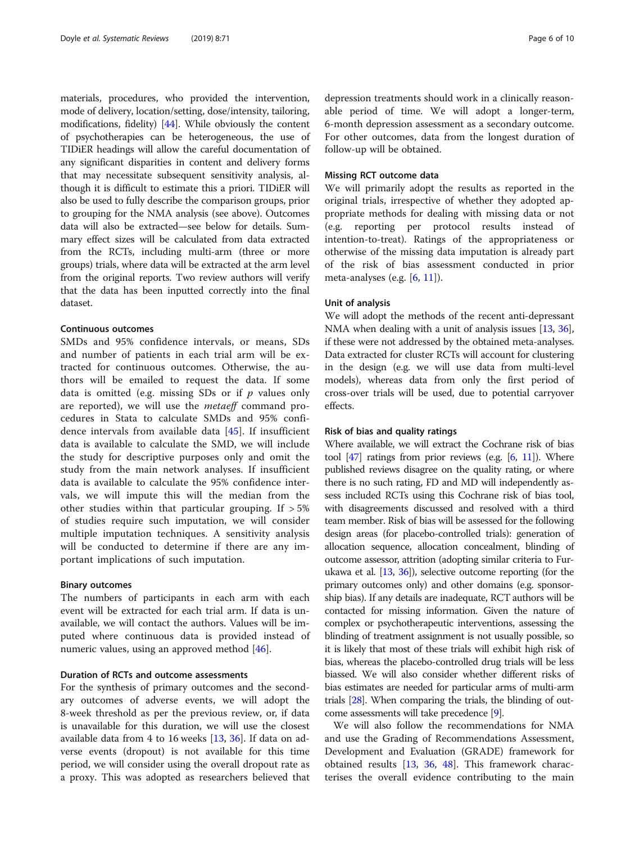materials, procedures, who provided the intervention, mode of delivery, location/setting, dose/intensity, tailoring, modifications, fidelity) [\[44](#page-9-0)]. While obviously the content of psychotherapies can be heterogeneous, the use of TIDiER headings will allow the careful documentation of any significant disparities in content and delivery forms that may necessitate subsequent sensitivity analysis, although it is difficult to estimate this a priori. TIDiER will also be used to fully describe the comparison groups, prior to grouping for the NMA analysis (see above). Outcomes data will also be extracted—see below for details. Summary effect sizes will be calculated from data extracted from the RCTs, including multi-arm (three or more groups) trials, where data will be extracted at the arm level from the original reports. Two review authors will verify that the data has been inputted correctly into the final dataset.

#### Continuous outcomes

SMDs and 95% confidence intervals, or means, SDs and number of patients in each trial arm will be extracted for continuous outcomes. Otherwise, the authors will be emailed to request the data. If some data is omitted (e.g. missing SDs or if  $p$  values only are reported), we will use the *metaeff* command procedures in Stata to calculate SMDs and 95% confidence intervals from available data [[45](#page-9-0)]. If insufficient data is available to calculate the SMD, we will include the study for descriptive purposes only and omit the study from the main network analyses. If insufficient data is available to calculate the 95% confidence intervals, we will impute this will the median from the other studies within that particular grouping. If  $>5\%$ of studies require such imputation, we will consider multiple imputation techniques. A sensitivity analysis will be conducted to determine if there are any important implications of such imputation.

#### Binary outcomes

The numbers of participants in each arm with each event will be extracted for each trial arm. If data is unavailable, we will contact the authors. Values will be imputed where continuous data is provided instead of numeric values, using an approved method [[46\]](#page-9-0).

#### Duration of RCTs and outcome assessments

For the synthesis of primary outcomes and the secondary outcomes of adverse events, we will adopt the 8-week threshold as per the previous review, or, if data is unavailable for this duration, we will use the closest available data from 4 to 16 weeks [\[13](#page-8-0), [36](#page-8-0)]. If data on adverse events (dropout) is not available for this time period, we will consider using the overall dropout rate as a proxy. This was adopted as researchers believed that

depression treatments should work in a clinically reasonable period of time. We will adopt a longer-term, 6-month depression assessment as a secondary outcome. For other outcomes, data from the longest duration of follow-up will be obtained.

#### Missing RCT outcome data

We will primarily adopt the results as reported in the original trials, irrespective of whether they adopted appropriate methods for dealing with missing data or not (e.g. reporting per protocol results instead of intention-to-treat). Ratings of the appropriateness or otherwise of the missing data imputation is already part of the risk of bias assessment conducted in prior meta-analyses (e.g.  $[6, 11]$  $[6, 11]$  $[6, 11]$  $[6, 11]$ ).

#### Unit of analysis

We will adopt the methods of the recent anti-depressant NMA when dealing with a unit of analysis issues [[13,](#page-8-0) [36](#page-8-0)], if these were not addressed by the obtained meta-analyses. Data extracted for cluster RCTs will account for clustering in the design (e.g. we will use data from multi-level models), whereas data from only the first period of cross-over trials will be used, due to potential carryover effects.

#### Risk of bias and quality ratings

Where available, we will extract the Cochrane risk of bias tool  $[47]$  ratings from prior reviews (e.g.  $[6, 11]$  $[6, 11]$  $[6, 11]$  $[6, 11]$  $[6, 11]$ ). Where published reviews disagree on the quality rating, or where there is no such rating, FD and MD will independently assess included RCTs using this Cochrane risk of bias tool, with disagreements discussed and resolved with a third team member. Risk of bias will be assessed for the following design areas (for placebo-controlled trials): generation of allocation sequence, allocation concealment, blinding of outcome assessor, attrition (adopting similar criteria to Furukawa et al. [\[13](#page-8-0), [36](#page-8-0)]), selective outcome reporting (for the primary outcomes only) and other domains (e.g. sponsorship bias). If any details are inadequate, RCT authors will be contacted for missing information. Given the nature of complex or psychotherapeutic interventions, assessing the blinding of treatment assignment is not usually possible, so it is likely that most of these trials will exhibit high risk of bias, whereas the placebo-controlled drug trials will be less biassed. We will also consider whether different risks of bias estimates are needed for particular arms of multi-arm trials [\[28](#page-8-0)]. When comparing the trials, the blinding of outcome assessments will take precedence [\[9\]](#page-8-0).

We will also follow the recommendations for NMA and use the Grading of Recommendations Assessment, Development and Evaluation (GRADE) framework for obtained results  $[13, 36, 48]$  $[13, 36, 48]$  $[13, 36, 48]$  $[13, 36, 48]$  $[13, 36, 48]$  $[13, 36, 48]$  $[13, 36, 48]$ . This framework characterises the overall evidence contributing to the main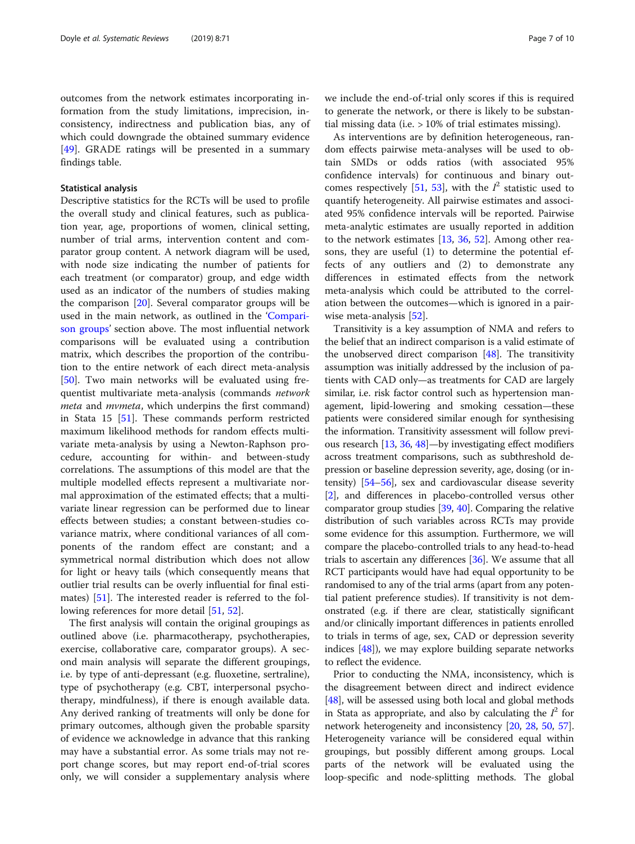outcomes from the network estimates incorporating information from the study limitations, imprecision, inconsistency, indirectness and publication bias, any of which could downgrade the obtained summary evidence [[49\]](#page-9-0). GRADE ratings will be presented in a summary findings table.

#### Statistical analysis

Descriptive statistics for the RCTs will be used to profile the overall study and clinical features, such as publication year, age, proportions of women, clinical setting, number of trial arms, intervention content and comparator group content. A network diagram will be used, with node size indicating the number of patients for each treatment (or comparator) group, and edge width used as an indicator of the numbers of studies making the comparison [\[20](#page-8-0)]. Several comparator groups will be used in the main network, as outlined in the '[Compari](#page-3-0)[son groups](#page-3-0)' section above. The most influential network comparisons will be evaluated using a contribution matrix, which describes the proportion of the contribution to the entire network of each direct meta-analysis [[50\]](#page-9-0). Two main networks will be evaluated using frequentist multivariate meta-analysis (commands network meta and mvmeta, which underpins the first command) in Stata 15 [[51](#page-9-0)]. These commands perform restricted maximum likelihood methods for random effects multivariate meta-analysis by using a Newton-Raphson procedure, accounting for within- and between-study correlations. The assumptions of this model are that the multiple modelled effects represent a multivariate normal approximation of the estimated effects; that a multivariate linear regression can be performed due to linear effects between studies; a constant between-studies covariance matrix, where conditional variances of all components of the random effect are constant; and a symmetrical normal distribution which does not allow for light or heavy tails (which consequently means that outlier trial results can be overly influential for final estimates) [[51](#page-9-0)]. The interested reader is referred to the fol-lowing references for more detail [\[51](#page-9-0), [52](#page-9-0)].

The first analysis will contain the original groupings as outlined above (i.e. pharmacotherapy, psychotherapies, exercise, collaborative care, comparator groups). A second main analysis will separate the different groupings, i.e. by type of anti-depressant (e.g. fluoxetine, sertraline), type of psychotherapy (e.g. CBT, interpersonal psychotherapy, mindfulness), if there is enough available data. Any derived ranking of treatments will only be done for primary outcomes, although given the probable sparsity of evidence we acknowledge in advance that this ranking may have a substantial error. As some trials may not report change scores, but may report end-of-trial scores only, we will consider a supplementary analysis where

we include the end-of-trial only scores if this is required to generate the network, or there is likely to be substantial missing data (i.e. > 10% of trial estimates missing).

As interventions are by definition heterogeneous, random effects pairwise meta-analyses will be used to obtain SMDs or odds ratios (with associated 95% confidence intervals) for continuous and binary out-comes respectively [[51,](#page-9-0) [53\]](#page-9-0), with the  $I^2$  statistic used to quantify heterogeneity. All pairwise estimates and associated 95% confidence intervals will be reported. Pairwise meta-analytic estimates are usually reported in addition to the network estimates [\[13](#page-8-0), [36](#page-8-0), [52\]](#page-9-0). Among other reasons, they are useful (1) to determine the potential effects of any outliers and (2) to demonstrate any differences in estimated effects from the network meta-analysis which could be attributed to the correlation between the outcomes—which is ignored in a pairwise meta-analysis [\[52](#page-9-0)].

Transitivity is a key assumption of NMA and refers to the belief that an indirect comparison is a valid estimate of the unobserved direct comparison [\[48\]](#page-9-0). The transitivity assumption was initially addressed by the inclusion of patients with CAD only—as treatments for CAD are largely similar, i.e. risk factor control such as hypertension management, lipid-lowering and smoking cessation—these patients were considered similar enough for synthesising the information. Transitivity assessment will follow previous research [[13](#page-8-0), [36,](#page-8-0) [48](#page-9-0)]—by investigating effect modifiers across treatment comparisons, such as subthreshold depression or baseline depression severity, age, dosing (or intensity) [[54](#page-9-0)–[56\]](#page-9-0), sex and cardiovascular disease severity [[2\]](#page-8-0), and differences in placebo-controlled versus other comparator group studies [\[39,](#page-9-0) [40](#page-9-0)]. Comparing the relative distribution of such variables across RCTs may provide some evidence for this assumption. Furthermore, we will compare the placebo-controlled trials to any head-to-head trials to ascertain any differences [\[36\]](#page-8-0). We assume that all RCT participants would have had equal opportunity to be randomised to any of the trial arms (apart from any potential patient preference studies). If transitivity is not demonstrated (e.g. if there are clear, statistically significant and/or clinically important differences in patients enrolled to trials in terms of age, sex, CAD or depression severity indices [\[48\]](#page-9-0)), we may explore building separate networks to reflect the evidence.

Prior to conducting the NMA, inconsistency, which is the disagreement between direct and indirect evidence [[48](#page-9-0)], will be assessed using both local and global methods in Stata as appropriate, and also by calculating the  $I^2$  for network heterogeneity and inconsistency [[20](#page-8-0), [28,](#page-8-0) [50,](#page-9-0) [57](#page-9-0)]. Heterogeneity variance will be considered equal within groupings, but possibly different among groups. Local parts of the network will be evaluated using the loop-specific and node-splitting methods. The global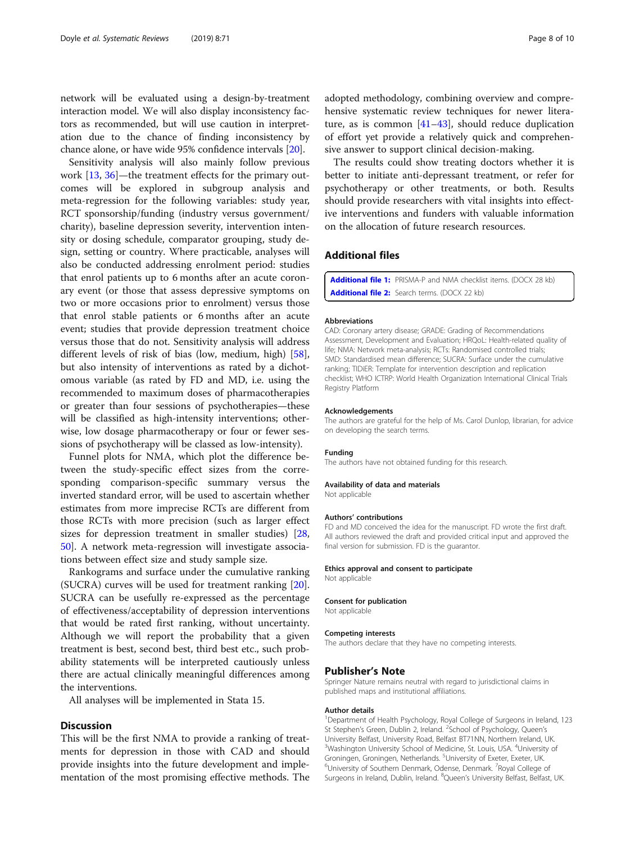<span id="page-7-0"></span>network will be evaluated using a design-by-treatment interaction model. We will also display inconsistency factors as recommended, but will use caution in interpretation due to the chance of finding inconsistency by chance alone, or have wide 95% confidence intervals [\[20\]](#page-8-0).

Sensitivity analysis will also mainly follow previous work [\[13](#page-8-0), [36](#page-8-0)]—the treatment effects for the primary outcomes will be explored in subgroup analysis and meta-regression for the following variables: study year, RCT sponsorship/funding (industry versus government/ charity), baseline depression severity, intervention intensity or dosing schedule, comparator grouping, study design, setting or country. Where practicable, analyses will also be conducted addressing enrolment period: studies that enrol patients up to 6 months after an acute coronary event (or those that assess depressive symptoms on two or more occasions prior to enrolment) versus those that enrol stable patients or 6 months after an acute event; studies that provide depression treatment choice versus those that do not. Sensitivity analysis will address different levels of risk of bias (low, medium, high) [\[58](#page-9-0)], but also intensity of interventions as rated by a dichotomous variable (as rated by FD and MD, i.e. using the recommended to maximum doses of pharmacotherapies or greater than four sessions of psychotherapies—these will be classified as high-intensity interventions; otherwise, low dosage pharmacotherapy or four or fewer sessions of psychotherapy will be classed as low-intensity).

Funnel plots for NMA, which plot the difference between the study-specific effect sizes from the corresponding comparison-specific summary versus the inverted standard error, will be used to ascertain whether estimates from more imprecise RCTs are different from those RCTs with more precision (such as larger effect sizes for depression treatment in smaller studies) [[28](#page-8-0), [50\]](#page-9-0). A network meta-regression will investigate associations between effect size and study sample size.

Rankograms and surface under the cumulative ranking (SUCRA) curves will be used for treatment ranking [\[20](#page-8-0)]. SUCRA can be usefully re-expressed as the percentage of effectiveness/acceptability of depression interventions that would be rated first ranking, without uncertainty. Although we will report the probability that a given treatment is best, second best, third best etc., such probability statements will be interpreted cautiously unless there are actual clinically meaningful differences among the interventions.

All analyses will be implemented in Stata 15.

#### **Discussion**

This will be the first NMA to provide a ranking of treatments for depression in those with CAD and should provide insights into the future development and implementation of the most promising effective methods. The

adopted methodology, combining overview and comprehensive systematic review techniques for newer literature, as is common [\[41](#page-9-0)–[43](#page-9-0)], should reduce duplication of effort yet provide a relatively quick and comprehensive answer to support clinical decision-making.

The results could show treating doctors whether it is better to initiate anti-depressant treatment, or refer for psychotherapy or other treatments, or both. Results should provide researchers with vital insights into effective interventions and funders with valuable information on the allocation of future research resources.

### Additional files

[Additional file 1:](https://doi.org/10.1186/s13643-019-0985-9) PRISMA-P and NMA checklist items. (DOCX 28 kb) [Additional file 2:](https://doi.org/10.1186/s13643-019-0985-9) Search terms. (DOCX 22 kb)

#### Abbreviations

CAD: Coronary artery disease; GRADE: Grading of Recommendations Assessment, Development and Evaluation; HRQoL: Health-related quality of life; NMA: Network meta-analysis; RCTs: Randomised controlled trials; SMD: Standardised mean difference; SUCRA: Surface under the cumulative ranking; TIDiER: Template for intervention description and replication checklist; WHO ICTRP: World Health Organization International Clinical Trials Registry Platform

#### Acknowledgements

The authors are grateful for the help of Ms. Carol Dunlop, librarian, for advice on developing the search terms.

#### Funding

The authors have not obtained funding for this research.

#### Availability of data and materials

Not applicable

#### Authors' contributions

FD and MD conceived the idea for the manuscript. FD wrote the first draft. All authors reviewed the draft and provided critical input and approved the final version for submission. FD is the guarantor.

#### Ethics approval and consent to participate

Not applicable

#### Consent for publication

Not applicable

#### Competing interests

The authors declare that they have no competing interests.

#### Publisher's Note

Springer Nature remains neutral with regard to jurisdictional claims in published maps and institutional affiliations.

#### Author details

<sup>1</sup>Department of Health Psychology, Royal College of Surgeons in Ireland, 123 St Stephen's Green, Dublin 2, Ireland. <sup>2</sup>School of Psychology, Queen's University Belfast, University Road, Belfast BT71NN, Northern Ireland, UK. <sup>3</sup>Washington University School of Medicine, St. Louis, USA. <sup>4</sup>University of Groningen, Groningen, Netherlands. <sup>5</sup>University of Exeter, Exeter, UK.<br><sup>6</sup>University of Southern Donmark, Odense, Denmark, <sup>7</sup>Poval College. University of Southern Denmark, Odense, Denmark. <sup>7</sup> Royal College of Surgeons in Ireland, Dublin, Ireland. <sup>8</sup>Queen's University Belfast, Belfast, UK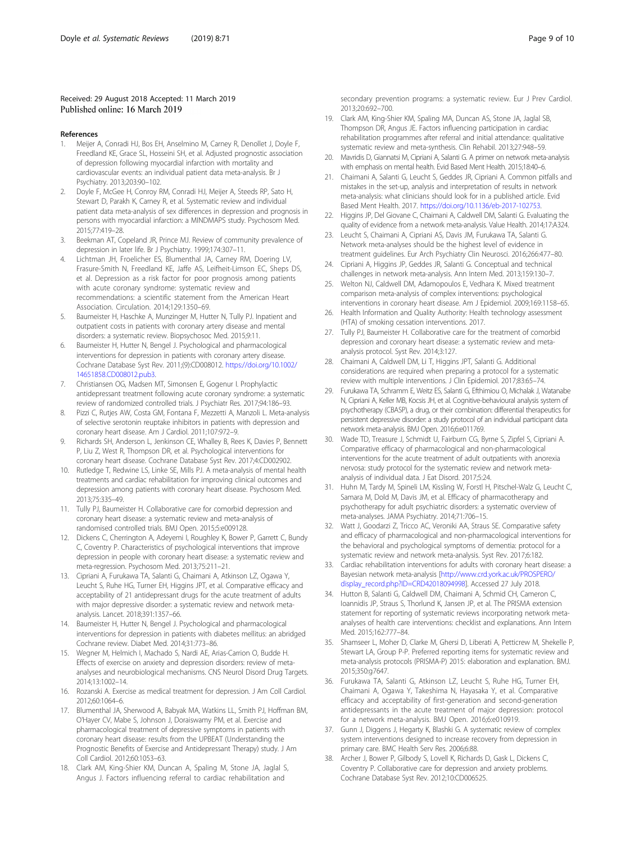#### <span id="page-8-0"></span>Received: 29 August 2018 Accepted: 11 March 2019 Published online: 16 March 2019

#### References

- 1. Meijer A, Conradi HJ, Bos EH, Anselmino M, Carney R, Denollet J, Doyle F, Freedland KE, Grace SL, Hosseini SH, et al. Adjusted prognostic association of depression following myocardial infarction with mortality and cardiovascular events: an individual patient data meta-analysis. Br J Psychiatry. 2013;203:90–102.
- 2. Doyle F, McGee H, Conroy RM, Conradi HJ, Meijer A, Steeds RP, Sato H, Stewart D, Parakh K, Carney R, et al. Systematic review and individual patient data meta-analysis of sex differences in depression and prognosis in persons with myocardial infarction: a MINDMAPS study. Psychosom Med. 2015;77:419–28.
- 3. Beekman AT, Copeland JR, Prince MJ. Review of community prevalence of depression in later life. Br J Psychiatry. 1999;174:307–11.
- 4. Lichtman JH, Froelicher ES, Blumenthal JA, Carney RM, Doering LV, Frasure-Smith N, Freedland KE, Jaffe AS, Leifheit-Limson EC, Sheps DS, et al. Depression as a risk factor for poor prognosis among patients with acute coronary syndrome: systematic review and recommendations: a scientific statement from the American Heart Association. Circulation. 2014;129:1350–69.
- 5. Baumeister H, Haschke A, Munzinger M, Hutter N, Tully PJ. Inpatient and outpatient costs in patients with coronary artery disease and mental disorders: a systematic review. Biopsychosoc Med. 2015;9:11.
- 6. Baumeister H, Hutter N, Bengel J. Psychological and pharmacological interventions for depression in patients with coronary artery disease. Cochrane Database Syst Rev. 2011;(9):CD008012. [https://doi.org/10.1002/](https://doi.org/10.1002/14651858.CD008012.pub3) [14651858.CD008012.pub3](https://doi.org/10.1002/14651858.CD008012.pub3).
- 7. Christiansen OG, Madsen MT, Simonsen E, Gogenur I. Prophylactic antidepressant treatment following acute coronary syndrome: a systematic review of randomized controlled trials. J Psychiatr Res. 2017;94:186–93.
- 8. Pizzi C, Rutjes AW, Costa GM, Fontana F, Mezzetti A, Manzoli L. Meta-analysis of selective serotonin reuptake inhibitors in patients with depression and coronary heart disease. Am J Cardiol. 2011;107:972–9.
- 9. Richards SH, Anderson L, Jenkinson CE, Whalley B, Rees K, Davies P, Bennett P, Liu Z, West R, Thompson DR, et al. Psychological interventions for coronary heart disease. Cochrane Database Syst Rev. 2017;4:CD002902.
- 10. Rutledge T, Redwine LS, Linke SE, Mills PJ. A meta-analysis of mental health treatments and cardiac rehabilitation for improving clinical outcomes and depression among patients with coronary heart disease. Psychosom Med. 2013;75:335–49.
- 11. Tully PJ, Baumeister H. Collaborative care for comorbid depression and coronary heart disease: a systematic review and meta-analysis of randomised controlled trials. BMJ Open. 2015;5:e009128.
- 12. Dickens C, Cherrington A, Adeyemi I, Roughley K, Bower P, Garrett C, Bundy C, Coventry P. Characteristics of psychological interventions that improve depression in people with coronary heart disease: a systematic review and meta-regression. Psychosom Med. 2013;75:211–21.
- 13. Cipriani A, Furukawa TA, Salanti G, Chaimani A, Atkinson LZ, Ogawa Y, Leucht S, Ruhe HG, Turner EH, Higgins JPT, et al. Comparative efficacy and acceptability of 21 antidepressant drugs for the acute treatment of adults with major depressive disorder: a systematic review and network metaanalysis. Lancet. 2018;391:1357–66.
- 14. Baumeister H, Hutter N, Bengel J. Psychological and pharmacological interventions for depression in patients with diabetes mellitus: an abridged Cochrane review. Diabet Med. 2014;31:773–86.
- 15. Wegner M, Helmich I, Machado S, Nardi AE, Arias-Carrion O, Budde H. Effects of exercise on anxiety and depression disorders: review of metaanalyses and neurobiological mechanisms. CNS Neurol Disord Drug Targets. 2014;13:1002–14.
- 16. Rozanski A. Exercise as medical treatment for depression. J Am Coll Cardiol. 2012;60:1064–6.
- 17. Blumenthal JA, Sherwood A, Babyak MA, Watkins LL, Smith PJ, Hoffman BM, O'Hayer CV, Mabe S, Johnson J, Doraiswamy PM, et al. Exercise and pharmacological treatment of depressive symptoms in patients with coronary heart disease: results from the UPBEAT (Understanding the Prognostic Benefits of Exercise and Antidepressant Therapy) study. J Am Coll Cardiol. 2012;60:1053–63.
- 18. Clark AM, King-Shier KM, Duncan A, Spaling M, Stone JA, Jaglal S, Angus J. Factors influencing referral to cardiac rehabilitation and
- 19. Clark AM, King-Shier KM, Spaling MA, Duncan AS, Stone JA, Jaglal SB, Thompson DR, Angus JE. Factors influencing participation in cardiac rehabilitation programmes after referral and initial attendance: qualitative systematic review and meta-synthesis. Clin Rehabil. 2013;27:948–59.
- 20. Mavridis D, Giannatsi M, Cipriani A, Salanti G. A primer on network meta-analysis with emphasis on mental health. Evid Based Ment Health. 2015;18:40–6.
- 21. Chaimani A, Salanti G, Leucht S, Geddes JR, Cipriani A. Common pitfalls and mistakes in the set-up, analysis and interpretation of results in network meta-analysis: what clinicians should look for in a published article. Evid Based Ment Health. 2017. <https://doi.org/10.1136/eb-2017-102753>.
- 22. Higgins JP, Del Giovane C, Chaimani A, Caldwell DM, Salanti G. Evaluating the quality of evidence from a network meta-analysis. Value Health. 2014;17:A324.
- 23. Leucht S, Chaimani A, Cipriani AS, Davis JM, Furukawa TA, Salanti G. Network meta-analyses should be the highest level of evidence in treatment guidelines. Eur Arch Psychiatry Clin Neurosci. 2016;266:477–80.
- 24. Cipriani A, Higgins JP, Geddes JR, Salanti G. Conceptual and technical challenges in network meta-analysis. Ann Intern Med. 2013;159:130–7.
- 25. Welton NJ, Caldwell DM, Adamopoulos E, Vedhara K. Mixed treatment comparison meta-analysis of complex interventions: psychological interventions in coronary heart disease. Am J Epidemiol. 2009;169:1158–65.
- 26. Health Information and Quality Authority: Health technology assessment (HTA) of smoking cessation interventions. 2017.
- 27. Tully PJ, Baumeister H. Collaborative care for the treatment of comorbid depression and coronary heart disease: a systematic review and metaanalysis protocol. Syst Rev. 2014;3:127.
- 28. Chaimani A, Caldwell DM, Li T, Higgins JPT, Salanti G. Additional considerations are required when preparing a protocol for a systematic review with multiple interventions. J Clin Epidemiol. 2017;83:65–74.
- 29. Furukawa TA, Schramm E, Weitz ES, Salanti G, Efthimiou O, Michalak J, Watanabe N, Cipriani A, Keller MB, Kocsis JH, et al. Cognitive-behavioural analysis system of psychotherapy (CBASP), a drug, or their combination: differential therapeutics for persistent depressive disorder: a study protocol of an individual participant data network meta-analysis. BMJ Open. 2016;6:e011769.
- 30. Wade TD, Treasure J, Schmidt U, Fairburn CG, Byrne S, Zipfel S, Cipriani A. Comparative efficacy of pharmacological and non-pharmacological interventions for the acute treatment of adult outpatients with anorexia nervosa: study protocol for the systematic review and network metaanalysis of individual data. J Eat Disord. 2017;5:24.
- 31. Huhn M, Tardy M, Spineli LM, Kissling W, Forstl H, Pitschel-Walz G, Leucht C, Samara M, Dold M, Davis JM, et al. Efficacy of pharmacotherapy and psychotherapy for adult psychiatric disorders: a systematic overview of meta-analyses. JAMA Psychiatry. 2014;71:706–15.
- 32. Watt J, Goodarzi Z, Tricco AC, Veroniki AA, Straus SE. Comparative safety and efficacy of pharmacological and non-pharmacological interventions for the behavioral and psychological symptoms of dementia: protocol for a systematic review and network meta-analysis. Syst Rev. 2017;6:182.
- 33. Cardiac rehabilitation interventions for adults with coronary heart disease: a Bayesian network meta-analysis [[http://www.crd.york.ac.uk/PROSPERO/](http://www.crd.york.ac.uk/PROSPERO/display_record.php?ID=CRD42018094998) [display\\_record.php?ID=CRD42018094998\]](http://www.crd.york.ac.uk/PROSPERO/display_record.php?ID=CRD42018094998). Accessed 27 July 2018.
- 34. Hutton B, Salanti G, Caldwell DM, Chaimani A, Schmid CH, Cameron C, Ioannidis JP, Straus S, Thorlund K, Jansen JP, et al. The PRISMA extension statement for reporting of systematic reviews incorporating network metaanalyses of health care interventions: checklist and explanations. Ann Intern Med. 2015;162:777–84.
- 35. Shamseer L, Moher D, Clarke M, Ghersi D, Liberati A, Petticrew M, Shekelle P, Stewart LA, Group P-P. Preferred reporting items for systematic review and meta-analysis protocols (PRISMA-P) 2015: elaboration and explanation. BMJ. 2015;350:g7647.
- 36. Furukawa TA, Salanti G, Atkinson LZ, Leucht S, Ruhe HG, Turner EH, Chaimani A, Ogawa Y, Takeshima N, Hayasaka Y, et al. Comparative efficacy and acceptability of first-generation and second-generation antidepressants in the acute treatment of major depression: protocol for a network meta-analysis. BMJ Open. 2016;6:e010919.
- 37. Gunn J, Diggens J, Hegarty K, Blashki G. A systematic review of complex system interventions designed to increase recovery from depression in primary care. BMC Health Serv Res. 2006;6:88.
- 38. Archer J, Bower P, Gilbody S, Lovell K, Richards D, Gask L, Dickens C, Coventry P. Collaborative care for depression and anxiety problems. Cochrane Database Syst Rev. 2012;10:CD006525.